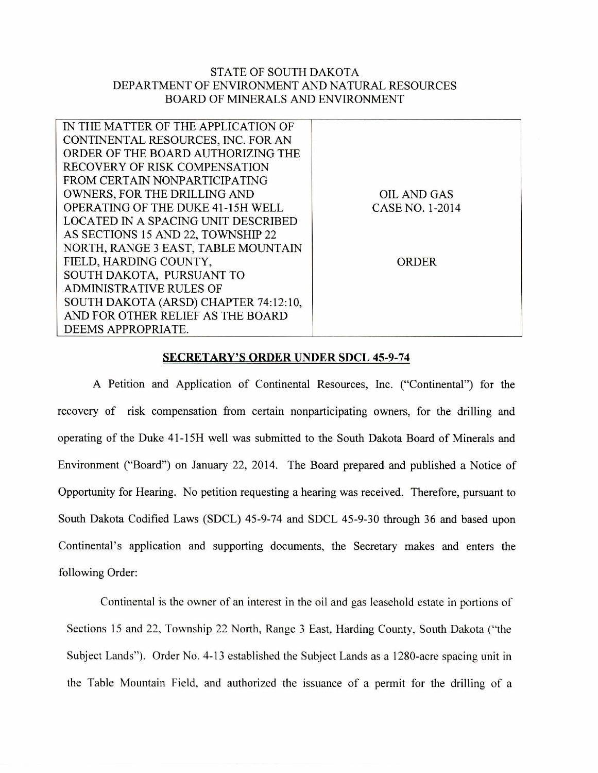## STATE OF SOUTH DAKOTA DEPARTMENT OF ENVIRONMENT AND NATURAL RESOURCES BOARD OF MINERALS AND ENVIRONMENT

| IN THE MATTER OF THE APPLICATION OF      |                    |  |
|------------------------------------------|--------------------|--|
| CONTINENTAL RESOURCES, INC. FOR AN       |                    |  |
| ORDER OF THE BOARD AUTHORIZING THE       |                    |  |
| <b>RECOVERY OF RISK COMPENSATION</b>     |                    |  |
| FROM CERTAIN NONPARTICIPATING            |                    |  |
| OWNERS, FOR THE DRILLING AND             | <b>OIL AND GAS</b> |  |
| <b>OPERATING OF THE DUKE 41-15H WELL</b> | CASE NO. 1-2014    |  |
| LOCATED IN A SPACING UNIT DESCRIBED      |                    |  |
| AS SECTIONS 15 AND 22, TOWNSHIP 22       |                    |  |
| NORTH, RANGE 3 EAST, TABLE MOUNTAIN      |                    |  |
| FIELD, HARDING COUNTY,                   | <b>ORDER</b>       |  |
| SOUTH DAKOTA, PURSUANT TO                |                    |  |
| <b>ADMINISTRATIVE RULES OF</b>           |                    |  |
| SOUTH DAKOTA (ARSD) CHAPTER 74:12:10,    |                    |  |
| AND FOR OTHER RELIEF AS THE BOARD        |                    |  |
| DEEMS APPROPRIATE.                       |                    |  |
|                                          |                    |  |

## **SECRETARY'S ORDER UNDER SDCL 45-9-74**

A Petition and Application of Continental Resources, Inc. ("Continental") for the recovery of risk compensation from certain nonparticipating owners, for the drilling and operating of the Duke 41-15H well was submitted to the South Dakota Board of Minerals and Environment ("Board") on January 22, 2014. The Board prepared and published a Notice of Opportunity for Hearing. No petition requesting a hearing was received. Therefore, pursuant to South Dakota Codified Laws (SDCL) 45-9-74 and SDCL 45-9-30 through 36 and based upon Continental's application and supporting documents, the Secretary makes and enters the following Order:

Continental is the owner of an interest in the oil and gas leasehold estate in portions of Sections 15 and 22, Township 22 North, Range 3 East, Harding County, South Dakota ("the Subject Lands"). Order No. 4-13 established the Subject Lands as a 1280-acre spacing unit in the Table Mountain Field, and authorized the issuance of a permit for the drilling of a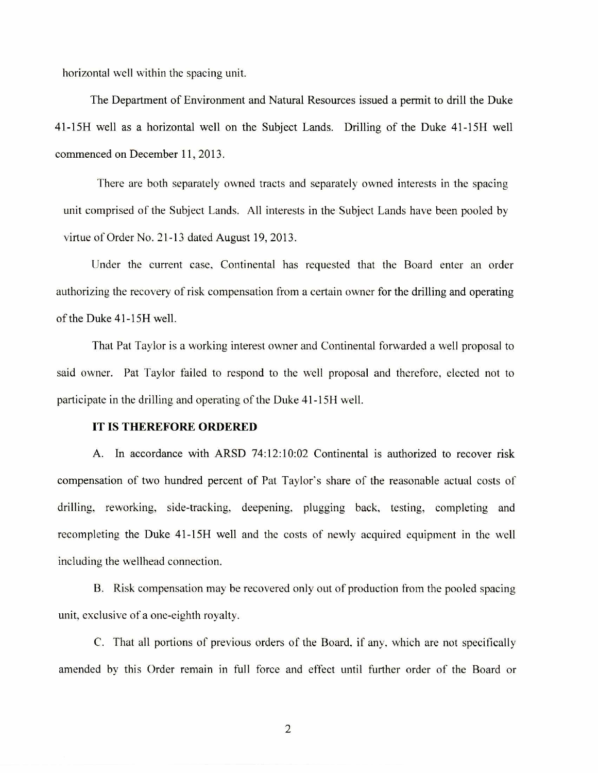horizontal well within the spacing unit.

The Department of Environment and Natural Resources issued a permit to drill the Duke 41-15H well as a horizontal well on the Subject Lands. Drilling of the Duke 41-1511 well commenced on December 11, 2013.

There are both, separately owned tracts and separately owned interests in the spacing unit comprised of the Subject Lands. All interests in the Subject Lands have been pooled by virtue of Order No. 21-13 dated August 19, 2013.

Under the current case, Continental has requested that the Board enter an order authorizing the recovery of risk compensation from a certain owner for the drilling and operating of the Duke 41-15H well.

That Pat Taylor is a working interest owner and Continental forwarded a well proposal to said owner. Pat Taylor failed to respond to the well proposal and therefore, elected not to participate in the drilling and operating of the Duke 41-15H well.

## **IT IS THEREFORE ORDERED**

A. In accordance with ARSD 74:12:10:02 Continental is authorized to recover risk compensation of two hundred percent of Pat Taylor's share of the reasonable actual costs of drilling, reworking, side-tracking, deepening, plugging back, testing, completing and recompleting the Duke 41-15H well and the costs of newly acquired equipment in the well including the wellhead connection.

B. Risk compensation may be recovered only out of production from the pooled spacing unit, exclusive of a one-eighth royalty.

C. That all portions of previous orders of the Board. if any. which are not specifically amended by this Order remain in full force and effect until further order of the Board or

2